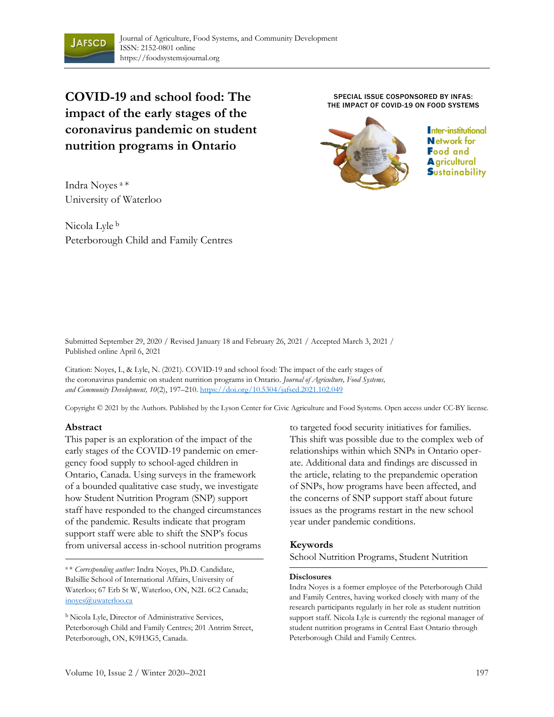

**COVID-19 and school food: The impact of the early stages of the coronavirus pandemic on student nutrition programs in Ontario**

Indra Noyes <sup>a</sup>\* University of Waterloo

Nicola Lyle <sup>b</sup> Peterborough Child and Family Centres

SPECIAL ISSUE COSPONSORED BY INFAS: THE IMPACT OF COVID-19 ON FOOD SYSTEMS



Inter-institutional **Network for Food and A** gricultural **S**ustainability

Submitted September 29, 2020 / Revised January 18 and February 26, 2021 / Accepted March 3, 2021 / Published online April 6, 2021

Citation: Noyes, I., & Lyle, N. (2021). COVID-19 and school food: The impact of the early stages of the coronavirus pandemic on student nutrition programs in Ontario. *Journal of Agriculture, Food Systems, and Community Development, 10*(2), 197–210. https://doi.org/10.5304/jafscd.2021.102.049

Copyright © 2021 by the Authors. Published by the Lyson Center for Civic Agriculture and Food Systems. Open access under CC-BY license.

#### **Abstract**

This paper is an exploration of the impact of the early stages of the COVID-19 pandemic on emergency food supply to school-aged children in Ontario, Canada. Using surveys in the framework of a bounded qualitative case study, we investigate how Student Nutrition Program (SNP) support staff have responded to the changed circumstances of the pandemic. Results indicate that program support staff were able to shift the SNP's focus from universal access in-school nutrition programs

<sup>a</sup>\* *Corresponding author:* Indra Noyes, Ph.D. Candidate, Balsillie School of International Affairs, University of Waterloo; 67 Erb St W, Waterloo, ON, N2L 6C2 Canada; inoyes@uwaterloo.ca

<sup>b</sup> Nicola Lyle, Director of Administrative Services, Peterborough Child and Family Centres; 201 Antrim Street, Peterborough, ON, K9H3G5, Canada.

to targeted food security initiatives for families. This shift was possible due to the complex web of relationships within which SNPs in Ontario operate. Additional data and findings are discussed in the article, relating to the prepandemic operation of SNPs, how programs have been affected, and the concerns of SNP support staff about future issues as the programs restart in the new school year under pandemic conditions.

#### **Keywords**

School Nutrition Programs, Student Nutrition

#### **Disclosures**

Indra Noyes is a former employee of the Peterborough Child and Family Centres, having worked closely with many of the research participants regularly in her role as student nutrition support staff. Nicola Lyle is currently the regional manager of student nutrition programs in Central East Ontario through Peterborough Child and Family Centres.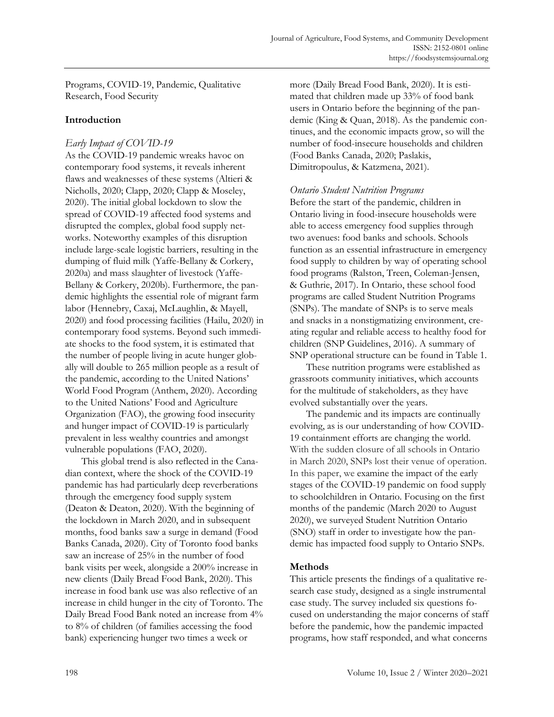Programs, COVID-19, Pandemic, Qualitative Research, Food Security

# **Introduction**

# *Early Impact of COVID-19*

As the COVID-19 pandemic wreaks havoc on contemporary food systems, it reveals inherent flaws and weaknesses of these systems (Altieri & Nicholls, 2020; Clapp, 2020; Clapp & Moseley, 2020). The initial global lockdown to slow the spread of COVID-19 affected food systems and disrupted the complex, global food supply networks. Noteworthy examples of this disruption include large-scale logistic barriers, resulting in the dumping of fluid milk (Yaffe-Bellany & Corkery, 2020a) and mass slaughter of livestock (Yaffe-Bellany & Corkery, 2020b). Furthermore, the pandemic highlights the essential role of migrant farm labor (Hennebry, Caxaj, McLaughlin, & Mayell, 2020) and food processing facilities (Hailu, 2020) in contemporary food systems. Beyond such immediate shocks to the food system, it is estimated that the number of people living in acute hunger globally will double to 265 million people as a result of the pandemic, according to the United Nations' World Food Program (Anthem, 2020). According to the United Nations' Food and Agriculture Organization (FAO), the growing food insecurity and hunger impact of COVID-19 is particularly prevalent in less wealthy countries and amongst vulnerable populations (FAO, 2020).

This global trend is also reflected in the Canadian context, where the shock of the COVID-19 pandemic has had particularly deep reverberations through the emergency food supply system (Deaton & Deaton, 2020). With the beginning of the lockdown in March 2020, and in subsequent months, food banks saw a surge in demand (Food Banks Canada, 2020). City of Toronto food banks saw an increase of 25% in the number of food bank visits per week, alongside a 200% increase in new clients (Daily Bread Food Bank, 2020). This increase in food bank use was also reflective of an increase in child hunger in the city of Toronto. The Daily Bread Food Bank noted an increase from 4% to 8% of children (of families accessing the food bank) experiencing hunger two times a week or

more (Daily Bread Food Bank, 2020). It is estimated that children made up 33% of food bank users in Ontario before the beginning of the pandemic (King & Quan, 2018). As the pandemic continues, and the economic impacts grow, so will the number of food-insecure households and children (Food Banks Canada, 2020; Paslakis, Dimitropoulus, & Katzmena, 2021).

### *Ontario Student Nutrition Programs*

Before the start of the pandemic, children in Ontario living in food-insecure households were able to access emergency food supplies through two avenues: food banks and schools. Schools function as an essential infrastructure in emergency food supply to children by way of operating school food programs (Ralston, Treen, Coleman-Jensen, & Guthrie, 2017). In Ontario, these school food programs are called Student Nutrition Programs (SNPs). The mandate of SNPs is to serve meals and snacks in a nonstigmatizing environment, creating regular and reliable access to healthy food for children (SNP Guidelines, 2016). A summary of SNP operational structure can be found in Table 1.

These nutrition programs were established as grassroots community initiatives, which accounts for the multitude of stakeholders, as they have evolved substantially over the years.

The pandemic and its impacts are continually evolving, as is our understanding of how COVID-19 containment efforts are changing the world. With the sudden closure of all schools in Ontario in March 2020, SNPs lost their venue of operation. In this paper, we examine the impact of the early stages of the COVID-19 pandemic on food supply to schoolchildren in Ontario. Focusing on the first months of the pandemic (March 2020 to August 2020), we surveyed Student Nutrition Ontario (SNO) staff in order to investigate how the pandemic has impacted food supply to Ontario SNPs.

# **Methods**

This article presents the findings of a qualitative research case study, designed as a single instrumental case study. The survey included six questions focused on understanding the major concerns of staff before the pandemic, how the pandemic impacted programs, how staff responded, and what concerns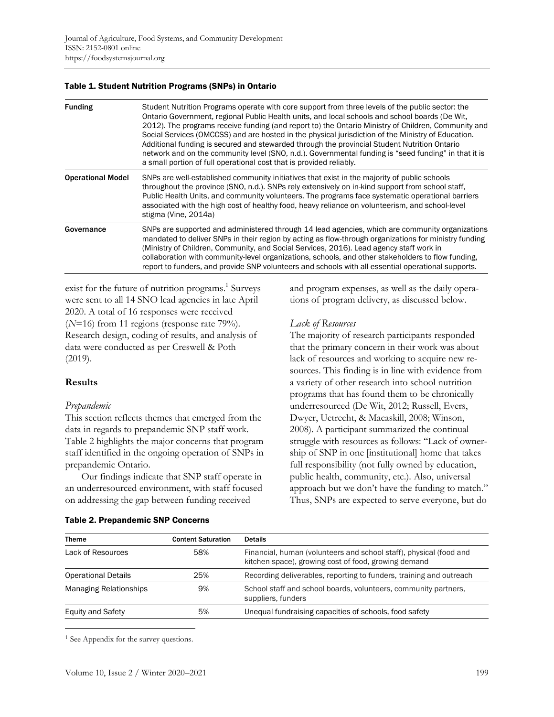#### Table 1. Student Nutrition Programs (SNPs) in Ontario

| <b>Funding</b>           | Student Nutrition Programs operate with core support from three levels of the public sector: the<br>Ontario Government, regional Public Health units, and local schools and school boards (De Wit,<br>2012). The programs receive funding (and report to) the Ontario Ministry of Children, Community and<br>Social Services (OMCCSS) and are hosted in the physical jurisdiction of the Ministry of Education.<br>Additional funding is secured and stewarded through the provincial Student Nutrition Ontario<br>network and on the community level (SNO, n.d.). Governmental funding is "seed funding" in that it is<br>a small portion of full operational cost that is provided reliably. |  |
|--------------------------|------------------------------------------------------------------------------------------------------------------------------------------------------------------------------------------------------------------------------------------------------------------------------------------------------------------------------------------------------------------------------------------------------------------------------------------------------------------------------------------------------------------------------------------------------------------------------------------------------------------------------------------------------------------------------------------------|--|
| <b>Operational Model</b> | SNPs are well-established community initiatives that exist in the majority of public schools<br>throughout the province (SNO, n.d.). SNPs rely extensively on in-kind support from school staff,<br>Public Health Units, and community volunteers. The programs face systematic operational barriers<br>associated with the high cost of healthy food, heavy reliance on volunteerism, and school-level<br>stigma (Vine, 2014a)                                                                                                                                                                                                                                                                |  |
| Governance               | SNPs are supported and administered through 14 lead agencies, which are community organizations<br>mandated to deliver SNPs in their region by acting as flow-through organizations for ministry funding<br>(Ministry of Children, Community, and Social Services, 2016). Lead agency staff work in<br>collaboration with community-level organizations, schools, and other stakeholders to flow funding,<br>report to funders, and provide SNP volunteers and schools with all essential operational supports.                                                                                                                                                                                |  |

exist for the future of nutrition programs. 1 Surveys were sent to all 14 SNO lead agencies in late April 2020. A total of 16 responses were received (*N*=16) from 11 regions (response rate 79%). Research design, coding of results, and analysis of data were conducted as per Creswell & Poth (2019).

### **Results**

#### *Prepandemic*

This section reflects themes that emerged from the data in regards to prepandemic SNP staff work. Table 2 highlights the major concerns that program staff identified in the ongoing operation of SNPs in prepandemic Ontario.

Our findings indicate that SNP staff operate in an underresourced environment, with staff focused on addressing the gap between funding received

# and program expenses, as well as the daily operations of program delivery, as discussed below.

### *Lack of Resources*

The majority of research participants responded that the primary concern in their work was about lack of resources and working to acquire new resources. This finding is in line with evidence from a variety of other research into school nutrition programs that has found them to be chronically underresourced (De Wit, 2012; Russell, Evers, Dwyer, Uetrecht, & Macaskill, 2008; Winson, 2008). A participant summarized the continual struggle with resources as follows: "Lack of ownership of SNP in one [institutional] home that takes full responsibility (not fully owned by education, public health, community, etc.). Also, universal approach but we don't have the funding to match." Thus, SNPs are expected to serve everyone, but do

| <b>Theme</b>                  | <b>Content Saturation</b> | <b>Details</b>                                                                                                             |  |
|-------------------------------|---------------------------|----------------------------------------------------------------------------------------------------------------------------|--|
| Lack of Resources             | 58%                       | Financial, human (volunteers and school staff), physical (food and<br>kitchen space), growing cost of food, growing demand |  |
| <b>Operational Details</b>    | 25%                       | Recording deliverables, reporting to funders, training and outreach                                                        |  |
| <b>Managing Relationships</b> | 9%                        | School staff and school boards, volunteers, community partners,<br>suppliers, funders                                      |  |
| <b>Equity and Safety</b>      | 5%                        | Unequal fundraising capacities of schools, food safety                                                                     |  |

#### Table 2. Prepandemic SNP Concerns

<sup>1</sup> See Appendix for the survey questions.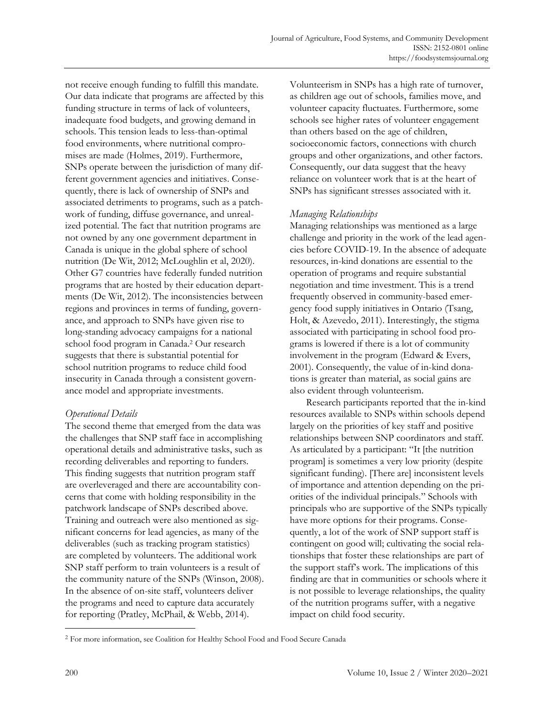not receive enough funding to fulfill this mandate. Our data indicate that programs are affected by this funding structure in terms of lack of volunteers, inadequate food budgets, and growing demand in schools. This tension leads to less-than-optimal food environments, where nutritional compromises are made (Holmes, 2019). Furthermore, SNPs operate between the jurisdiction of many different government agencies and initiatives. Consequently, there is lack of ownership of SNPs and associated detriments to programs, such as a patchwork of funding, diffuse governance, and unrealized potential. The fact that nutrition programs are not owned by any one government department in Canada is unique in the global sphere of school nutrition (De Wit, 2012; McLoughlin et al, 2020). Other G7 countries have federally funded nutrition programs that are hosted by their education departments (De Wit, 2012). The inconsistencies between regions and provinces in terms of funding, governance, and approach to SNPs have given rise to long-standing advocacy campaigns for a national school food program in Canada. <sup>2</sup> Our research suggests that there is substantial potential for school nutrition programs to reduce child food insecurity in Canada through a consistent governance model and appropriate investments.

# *Operational Details*

The second theme that emerged from the data was the challenges that SNP staff face in accomplishing operational details and administrative tasks, such as recording deliverables and reporting to funders. This finding suggests that nutrition program staff are overleveraged and there are accountability concerns that come with holding responsibility in the patchwork landscape of SNPs described above. Training and outreach were also mentioned as significant concerns for lead agencies, as many of the deliverables (such as tracking program statistics) are completed by volunteers. The additional work SNP staff perform to train volunteers is a result of the community nature of the SNPs (Winson, 2008). In the absence of on-site staff, volunteers deliver the programs and need to capture data accurately for reporting (Pratley, McPhail, & Webb, 2014).

Volunteerism in SNPs has a high rate of turnover, as children age out of schools, families move, and volunteer capacity fluctuates. Furthermore, some schools see higher rates of volunteer engagement than others based on the age of children, socioeconomic factors, connections with church groups and other organizations, and other factors. Consequently, our data suggest that the heavy reliance on volunteer work that is at the heart of SNPs has significant stresses associated with it.

### *Managing Relationships*

Managing relationships was mentioned as a large challenge and priority in the work of the lead agencies before COVID-19. In the absence of adequate resources, in-kind donations are essential to the operation of programs and require substantial negotiation and time investment. This is a trend frequently observed in community-based emergency food supply initiatives in Ontario (Tsang, Holt, & Azevedo, 2011). Interestingly, the stigma associated with participating in school food programs is lowered if there is a lot of community involvement in the program (Edward & Evers, 2001). Consequently, the value of in-kind donations is greater than material, as social gains are also evident through volunteerism.

Research participants reported that the in-kind resources available to SNPs within schools depend largely on the priorities of key staff and positive relationships between SNP coordinators and staff. As articulated by a participant: "It [the nutrition program] is sometimes a very low priority (despite significant funding). [There are] inconsistent levels of importance and attention depending on the priorities of the individual principals." Schools with principals who are supportive of the SNPs typically have more options for their programs. Consequently, a lot of the work of SNP support staff is contingent on good will; cultivating the social relationships that foster these relationships are part of the support staff's work. The implications of this finding are that in communities or schools where it is not possible to leverage relationships, the quality of the nutrition programs suffer, with a negative impact on child food security.

<sup>2</sup> For more information, see Coalition for Healthy School Food and Food Secure Canada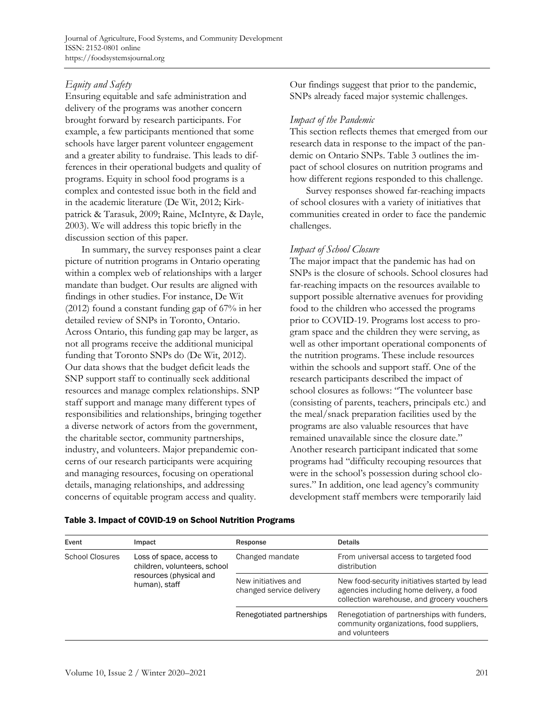Journal of Agriculture, Food Systems, and Community Development ISSN: 2152-0801 online https://foodsystemsjournal.org

# *Equity and Safety*

Ensuring equitable and safe administration and delivery of the programs was another concern brought forward by research participants. For example, a few participants mentioned that some schools have larger parent volunteer engagement and a greater ability to fundraise. This leads to differences in their operational budgets and quality of programs. Equity in school food programs is a complex and contested issue both in the field and in the academic literature (De Wit, 2012; Kirkpatrick & Tarasuk, 2009; Raine, McIntyre, & Dayle, 2003). We will address this topic briefly in the discussion section of this paper.

In summary, the survey responses paint a clear picture of nutrition programs in Ontario operating within a complex web of relationships with a larger mandate than budget. Our results are aligned with findings in other studies. For instance, De Wit (2012) found a constant funding gap of 67% in her detailed review of SNPs in Toronto, Ontario. Across Ontario, this funding gap may be larger, as not all programs receive the additional municipal funding that Toronto SNPs do (De Wit, 2012). Our data shows that the budget deficit leads the SNP support staff to continually seek additional resources and manage complex relationships. SNP staff support and manage many different types of responsibilities and relationships, bringing together a diverse network of actors from the government, the charitable sector, community partnerships, industry, and volunteers. Major prepandemic concerns of our research participants were acquiring and managing resources, focusing on operational details, managing relationships, and addressing concerns of equitable program access and quality.

Our findings suggest that prior to the pandemic, SNPs already faced major systemic challenges.

### *Impact of the Pandemic*

This section reflects themes that emerged from our research data in response to the impact of the pandemic on Ontario SNPs. Table 3 outlines the impact of school closures on nutrition programs and how different regions responded to this challenge.

Survey responses showed far-reaching impacts of school closures with a variety of initiatives that communities created in order to face the pandemic challenges.

### *Impact of School Closure*

The major impact that the pandemic has had on SNPs is the closure of schools. School closures had far-reaching impacts on the resources available to support possible alternative avenues for providing food to the children who accessed the programs prior to COVID-19. Programs lost access to program space and the children they were serving, as well as other important operational components of the nutrition programs. These include resources within the schools and support staff. One of the research participants described the impact of school closures as follows: "The volunteer base (consisting of parents, teachers, principals etc.) and the meal/snack preparation facilities used by the programs are also valuable resources that have remained unavailable since the closure date." Another research participant indicated that some programs had "difficulty recouping resources that were in the school's possession during school closures." In addition, one lead agency's community development staff members were temporarily laid

| Event                  | Impact                                                                                               | Response                                        | <b>Details</b>                                                                                                                          |
|------------------------|------------------------------------------------------------------------------------------------------|-------------------------------------------------|-----------------------------------------------------------------------------------------------------------------------------------------|
| <b>School Closures</b> | Loss of space, access to<br>children, volunteers, school<br>resources (physical and<br>human), staff | Changed mandate                                 | From universal access to targeted food<br>distribution                                                                                  |
|                        |                                                                                                      | New initiatives and<br>changed service delivery | New food-security initiatives started by lead<br>agencies including home delivery, a food<br>collection warehouse, and grocery vouchers |
|                        |                                                                                                      | Renegotiated partnerships                       | Renegotiation of partnerships with funders,<br>community organizations, food suppliers,<br>and volunteers                               |

#### Table 3. Impact of COVID-19 on School Nutrition Programs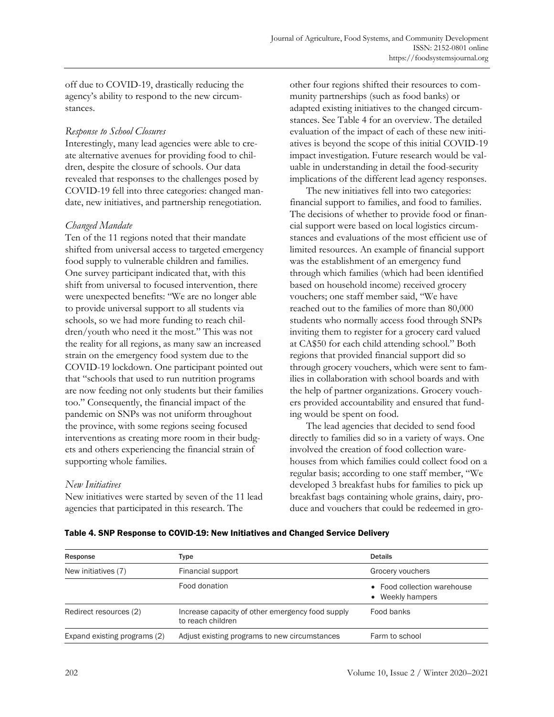off due to COVID-19, drastically reducing the agency's ability to respond to the new circumstances.

### *Response to School Closures*

Interestingly, many lead agencies were able to create alternative avenues for providing food to children, despite the closure of schools. Our data revealed that responses to the challenges posed by COVID-19 fell into three categories: changed mandate, new initiatives, and partnership renegotiation.

### *Changed Mandate*

Ten of the 11 regions noted that their mandate shifted from universal access to targeted emergency food supply to vulnerable children and families. One survey participant indicated that, with this shift from universal to focused intervention, there were unexpected benefits: "We are no longer able to provide universal support to all students via schools, so we had more funding to reach children/youth who need it the most." This was not the reality for all regions, as many saw an increased strain on the emergency food system due to the COVID-19 lockdown. One participant pointed out that "schools that used to run nutrition programs are now feeding not only students but their families too." Consequently, the financial impact of the pandemic on SNPs was not uniform throughout the province, with some regions seeing focused interventions as creating more room in their budgets and others experiencing the financial strain of supporting whole families.

# *New Initiatives*

New initiatives were started by seven of the 11 lead agencies that participated in this research. The

other four regions shifted their resources to community partnerships (such as food banks) or adapted existing initiatives to the changed circumstances. See Table 4 for an overview. The detailed evaluation of the impact of each of these new initiatives is beyond the scope of this initial COVID-19 impact investigation. Future research would be valuable in understanding in detail the food-security implications of the different lead agency responses.

The new initiatives fell into two categories: financial support to families, and food to families. The decisions of whether to provide food or financial support were based on local logistics circumstances and evaluations of the most efficient use of limited resources. An example of financial support was the establishment of an emergency fund through which families (which had been identified based on household income) received grocery vouchers; one staff member said, "We have reached out to the families of more than 80,000 students who normally access food through SNPs inviting them to register for a grocery card valued at CA\$50 for each child attending school." Both regions that provided financial support did so through grocery vouchers, which were sent to families in collaboration with school boards and with the help of partner organizations. Grocery vouchers provided accountability and ensured that funding would be spent on food.

The lead agencies that decided to send food directly to families did so in a variety of ways. One involved the creation of food collection warehouses from which families could collect food on a regular basis; according to one staff member, "We developed 3 breakfast hubs for families to pick up breakfast bags containing whole grains, dairy, produce and vouchers that could be redeemed in gro-

| Response                     | Type                                                                  | <b>Details</b>                                  |  |
|------------------------------|-----------------------------------------------------------------------|-------------------------------------------------|--|
| New initiatives (7)          | Financial support                                                     | Grocery vouchers                                |  |
|                              | Food donation                                                         | • Food collection warehouse<br>• Weekly hampers |  |
| Redirect resources (2)       | Increase capacity of other emergency food supply<br>to reach children | Food banks                                      |  |
| Expand existing programs (2) | Adjust existing programs to new circumstances                         | Farm to school                                  |  |

Table 4. SNP Response to COVID-19: New Initiatives and Changed Service Delivery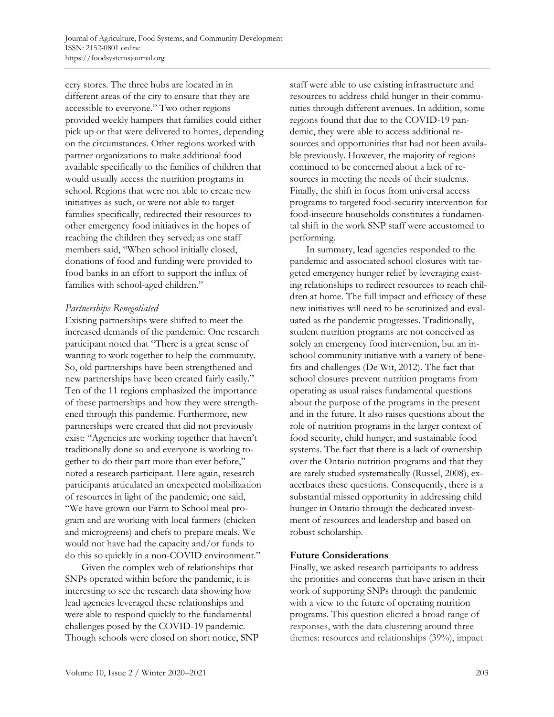cery stores. The three hubs are located in in different areas of the city to ensure that they are accessible to everyone." Two other regions provided weekly hampers that families could either pick up or that were delivered to homes, depending on the circumstances. Other regions worked with partner organizations to make additional food available specifically to the families of children that would usually access the nutrition programs in school. Regions that were not able to create new initiatives as such, or were not able to target families specifically, redirected their resources to other emergency food initiatives in the hopes of reaching the children they served; as one staff members said, "When school initially closed, donations of food and funding were provided to food banks in an effort to support the influx of families with school-aged children."

# *Partnerships Renegotiated*

Existing partnerships were shifted to meet the increased demands of the pandemic. One research participant noted that "There is a great sense of wanting to work together to help the community. So, old partnerships have been strengthened and new partnerships have been created fairly easily." Ten of the 11 regions emphasized the importance of these partnerships and how they were strengthened through this pandemic. Furthermore, new partnerships were created that did not previously exist: "Agencies are working together that haven't traditionally done so and everyone is working together to do their part more than ever before," noted a research participant. Here again, research participants articulated an unexpected mobilization of resources in light of the pandemic; one said, "We have grown our Farm to School meal program and are working with local farmers (chicken and microgreens) and chefs to prepare meals. We would not have had the capacity and/or funds to do this so quickly in a non-COVID environment."

Given the complex web of relationships that SNPs operated within before the pandemic, it is interesting to see the research data showing how lead agencies leveraged these relationships and were able to respond quickly to the fundamental challenges posed by the COVID-19 pandemic. Though schools were closed on short notice, SNP staff were able to use existing infrastructure and resources to address child hunger in their communities through different avenues. In addition, some regions found that due to the COVID-19 pandemic, they were able to access additional resources and opportunities that had not been available previously. However, the majority of regions continued to be concerned about a lack of resources in meeting the needs of their students. Finally, the shift in focus from universal access programs to targeted food-security intervention for food-insecure households constitutes a fundamental shift in the work SNP staff were accustomed to performing.

In summary, lead agencies responded to the pandemic and associated school closures with targeted emergency hunger relief by leveraging existing relationships to redirect resources to reach children at home. The full impact and efficacy of these new initiatives will need to be scrutinized and evaluated as the pandemic progresses. Traditionally, student nutrition programs are not conceived as solely an emergency food intervention, but an inschool community initiative with a variety of benefits and challenges (De Wit, 2012). The fact that school closures prevent nutrition programs from operating as usual raises fundamental questions about the purpose of the programs in the present and in the future. It also raises questions about the role of nutrition programs in the larger context of food security, child hunger, and sustainable food systems. The fact that there is a lack of ownership over the Ontario nutrition programs and that they are rarely studied systematically (Russel, 2008), exacerbates these questions. Consequently, there is a substantial missed opportunity in addressing child hunger in Ontario through the dedicated investment of resources and leadership and based on robust scholarship.

# **Future Considerations**

Finally, we asked research participants to address the priorities and concerns that have arisen in their work of supporting SNPs through the pandemic with a view to the future of operating nutrition programs. This question elicited a broad range of responses, with the data clustering around three themes: resources and relationships (39%), impact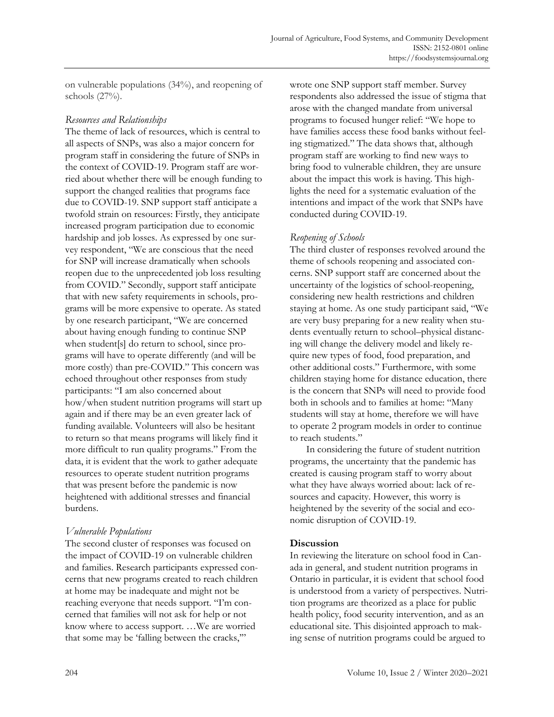on vulnerable populations (34%), and reopening of schools (27%).

# *Resources and Relationships*

The theme of lack of resources, which is central to all aspects of SNPs, was also a major concern for program staff in considering the future of SNPs in the context of COVID-19. Program staff are worried about whether there will be enough funding to support the changed realities that programs face due to COVID-19. SNP support staff anticipate a twofold strain on resources: Firstly, they anticipate increased program participation due to economic hardship and job losses. As expressed by one survey respondent, "We are conscious that the need for SNP will increase dramatically when schools reopen due to the unprecedented job loss resulting from COVID." Secondly, support staff anticipate that with new safety requirements in schools, programs will be more expensive to operate. As stated by one research participant, "We are concerned about having enough funding to continue SNP when student[s] do return to school, since programs will have to operate differently (and will be more costly) than pre-COVID." This concern was echoed throughout other responses from study participants: "I am also concerned about how/when student nutrition programs will start up again and if there may be an even greater lack of funding available. Volunteers will also be hesitant to return so that means programs will likely find it more difficult to run quality programs." From the data, it is evident that the work to gather adequate resources to operate student nutrition programs that was present before the pandemic is now heightened with additional stresses and financial burdens.

# *Vulnerable Populations*

The second cluster of responses was focused on the impact of COVID-19 on vulnerable children and families. Research participants expressed concerns that new programs created to reach children at home may be inadequate and might not be reaching everyone that needs support. "I'm concerned that families will not ask for help or not know where to access support. …We are worried that some may be 'falling between the cracks,'"

wrote one SNP support staff member. Survey respondents also addressed the issue of stigma that arose with the changed mandate from universal programs to focused hunger relief: "We hope to have families access these food banks without feeling stigmatized." The data shows that, although program staff are working to find new ways to bring food to vulnerable children, they are unsure about the impact this work is having. This highlights the need for a systematic evaluation of the intentions and impact of the work that SNPs have conducted during COVID-19.

# *Reopening of Schools*

The third cluster of responses revolved around the theme of schools reopening and associated concerns. SNP support staff are concerned about the uncertainty of the logistics of school-reopening, considering new health restrictions and children staying at home. As one study participant said, "We are very busy preparing for a new reality when students eventually return to school–physical distancing will change the delivery model and likely require new types of food, food preparation, and other additional costs." Furthermore, with some children staying home for distance education, there is the concern that SNPs will need to provide food both in schools and to families at home: "Many students will stay at home, therefore we will have to operate 2 program models in order to continue to reach students."

In considering the future of student nutrition programs, the uncertainty that the pandemic has created is causing program staff to worry about what they have always worried about: lack of resources and capacity. However, this worry is heightened by the severity of the social and economic disruption of COVID-19.

# **Discussion**

In reviewing the literature on school food in Canada in general, and student nutrition programs in Ontario in particular, it is evident that school food is understood from a variety of perspectives. Nutrition programs are theorized as a place for public health policy, food security intervention, and as an educational site. This disjointed approach to making sense of nutrition programs could be argued to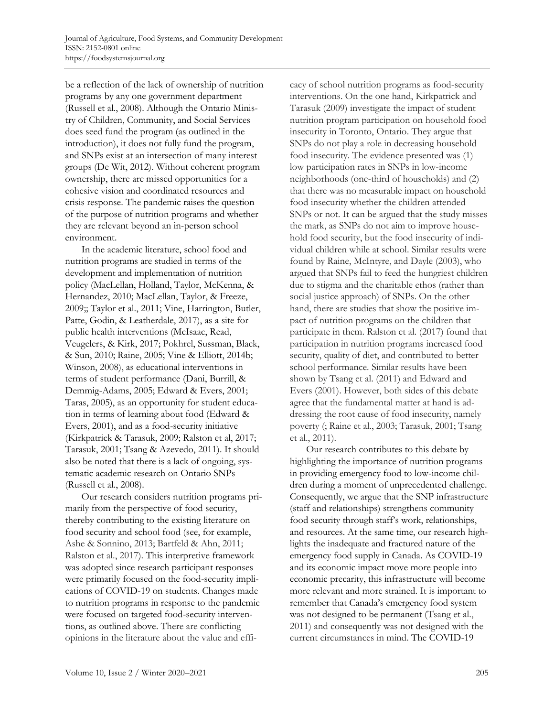be a reflection of the lack of ownership of nutrition programs by any one government department (Russell et al., 2008). Although the Ontario Ministry of Children, Community, and Social Services does seed fund the program (as outlined in the introduction), it does not fully fund the program, and SNPs exist at an intersection of many interest groups (De Wit, 2012). Without coherent program ownership, there are missed opportunities for a cohesive vision and coordinated resources and crisis response. The pandemic raises the question of the purpose of nutrition programs and whether they are relevant beyond an in-person school environment.

In the academic literature, school food and nutrition programs are studied in terms of the development and implementation of nutrition policy (MacLellan, Holland, Taylor, McKenna, & Hernandez, 2010; MacLellan, Taylor, & Freeze, 2009;; Taylor et al., 2011; Vine, Harrington, Butler, Patte, Godin, & Leatherdale, 2017), as a site for public health interventions (McIsaac, Read, Veugelers, & Kirk, 2017; Pokhrel, Sussman, Black, & Sun, 2010; Raine, 2005; Vine & Elliott, 2014b; Winson, 2008), as educational interventions in terms of student performance (Dani, Burrill, & Demmig-Adams, 2005; Edward & Evers, 2001; Taras, 2005), as an opportunity for student education in terms of learning about food (Edward & Evers, 2001), and as a food-security initiative (Kirkpatrick & Tarasuk, 2009; Ralston et al, 2017; Tarasuk, 2001; Tsang & Azevedo, 2011). It should also be noted that there is a lack of ongoing, systematic academic research on Ontario SNPs (Russell et al., 2008).

Our research considers nutrition programs primarily from the perspective of food security, thereby contributing to the existing literature on food security and school food (see, for example, Ashe & Sonnino, 2013; Bartfeld & Ahn, 2011; Ralston et al., 2017). This interpretive framework was adopted since research participant responses were primarily focused on the food-security implications of COVID-19 on students. Changes made to nutrition programs in response to the pandemic were focused on targeted food-security interventions, as outlined above. There are conflicting opinions in the literature about the value and efficacy of school nutrition programs as food-security interventions. On the one hand, Kirkpatrick and Tarasuk (2009) investigate the impact of student nutrition program participation on household food insecurity in Toronto, Ontario. They argue that SNPs do not play a role in decreasing household food insecurity. The evidence presented was (1) low participation rates in SNPs in low-income neighborhoods (one-third of households) and (2) that there was no measurable impact on household food insecurity whether the children attended SNPs or not. It can be argued that the study misses the mark, as SNPs do not aim to improve household food security, but the food insecurity of individual children while at school. Similar results were found by Raine, McIntyre, and Dayle (2003), who argued that SNPs fail to feed the hungriest children due to stigma and the charitable ethos (rather than social justice approach) of SNPs. On the other hand, there are studies that show the positive impact of nutrition programs on the children that participate in them. Ralston et al. (2017) found that participation in nutrition programs increased food security, quality of diet, and contributed to better school performance. Similar results have been shown by Tsang et al. (2011) and Edward and Evers (2001). However, both sides of this debate agree that the fundamental matter at hand is addressing the root cause of food insecurity, namely poverty (; Raine et al., 2003; Tarasuk, 2001; Tsang et al., 2011).

Our research contributes to this debate by highlighting the importance of nutrition programs in providing emergency food to low-income children during a moment of unprecedented challenge. Consequently, we argue that the SNP infrastructure (staff and relationships) strengthens community food security through staff's work, relationships, and resources. At the same time, our research highlights the inadequate and fractured nature of the emergency food supply in Canada. As COVID-19 and its economic impact move more people into economic precarity, this infrastructure will become more relevant and more strained. It is important to remember that Canada's emergency food system was not designed to be permanent (Tsang et al., 2011) and consequently was not designed with the current circumstances in mind. The COVID-19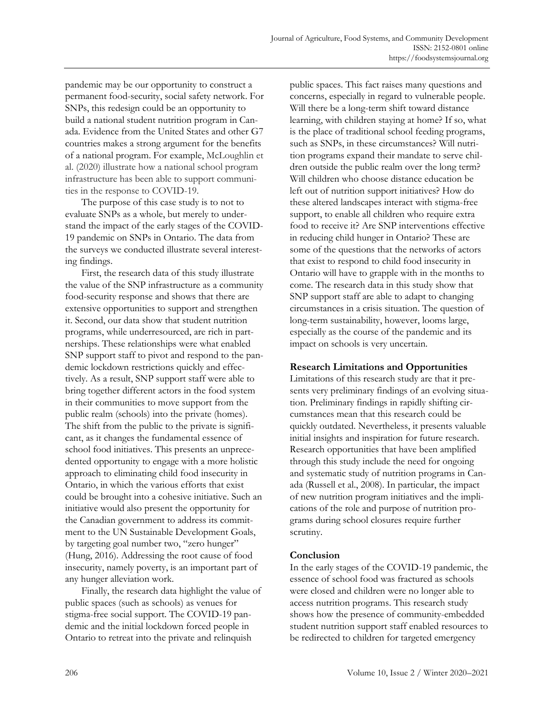pandemic may be our opportunity to construct a permanent food-security, social safety network. For SNPs, this redesign could be an opportunity to build a national student nutrition program in Canada. Evidence from the United States and other G7 countries makes a strong argument for the benefits of a national program. For example, McLoughlin et al. (2020) illustrate how a national school program infrastructure has been able to support communities in the response to COVID-19.

The purpose of this case study is to not to evaluate SNPs as a whole, but merely to understand the impact of the early stages of the COVID-19 pandemic on SNPs in Ontario. The data from the surveys we conducted illustrate several interesting findings.

First, the research data of this study illustrate the value of the SNP infrastructure as a community food-security response and shows that there are extensive opportunities to support and strengthen it. Second, our data show that student nutrition programs, while underresourced, are rich in partnerships. These relationships were what enabled SNP support staff to pivot and respond to the pandemic lockdown restrictions quickly and effectively. As a result, SNP support staff were able to bring together different actors in the food system in their communities to move support from the public realm (schools) into the private (homes). The shift from the public to the private is significant, as it changes the fundamental essence of school food initiatives. This presents an unprecedented opportunity to engage with a more holistic approach to eliminating child food insecurity in Ontario, in which the various efforts that exist could be brought into a cohesive initiative. Such an initiative would also present the opportunity for the Canadian government to address its commitment to the UN Sustainable Development Goals, by targeting goal number two, "zero hunger" (Hung, 2016). Addressing the root cause of food insecurity, namely poverty, is an important part of any hunger alleviation work.

Finally, the research data highlight the value of public spaces (such as schools) as venues for stigma-free social support. The COVID-19 pandemic and the initial lockdown forced people in Ontario to retreat into the private and relinquish

public spaces. This fact raises many questions and concerns, especially in regard to vulnerable people. Will there be a long-term shift toward distance learning, with children staying at home? If so, what is the place of traditional school feeding programs, such as SNPs, in these circumstances? Will nutrition programs expand their mandate to serve children outside the public realm over the long term? Will children who choose distance education be left out of nutrition support initiatives? How do these altered landscapes interact with stigma-free support, to enable all children who require extra food to receive it? Are SNP interventions effective in reducing child hunger in Ontario? These are some of the questions that the networks of actors that exist to respond to child food insecurity in Ontario will have to grapple with in the months to come. The research data in this study show that SNP support staff are able to adapt to changing circumstances in a crisis situation. The question of long-term sustainability, however, looms large, especially as the course of the pandemic and its impact on schools is very uncertain.

### **Research Limitations and Opportunities**

Limitations of this research study are that it presents very preliminary findings of an evolving situation. Preliminary findings in rapidly shifting circumstances mean that this research could be quickly outdated. Nevertheless, it presents valuable initial insights and inspiration for future research. Research opportunities that have been amplified through this study include the need for ongoing and systematic study of nutrition programs in Canada (Russell et al., 2008). In particular, the impact of new nutrition program initiatives and the implications of the role and purpose of nutrition programs during school closures require further scrutiny.

# **Conclusion**

In the early stages of the COVID-19 pandemic, the essence of school food was fractured as schools were closed and children were no longer able to access nutrition programs. This research study shows how the presence of community-embedded student nutrition support staff enabled resources to be redirected to children for targeted emergency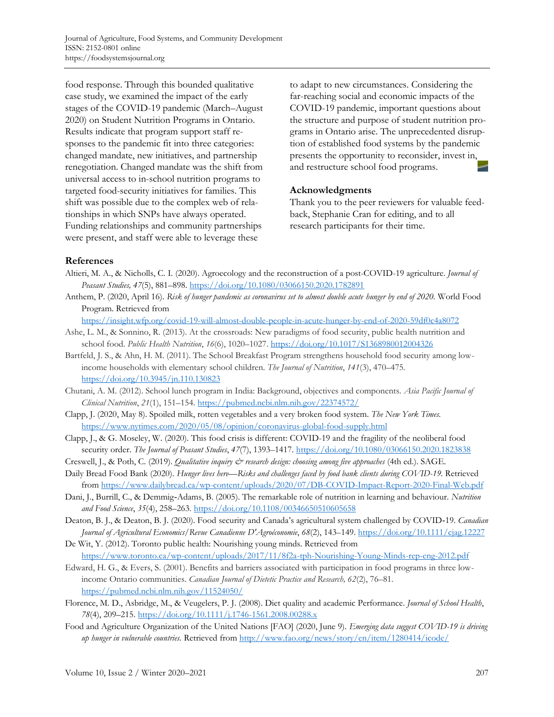food response. Through this bounded qualitative case study, we examined the impact of the early stages of the COVID-19 pandemic (March–August 2020) on Student Nutrition Programs in Ontario. Results indicate that program support staff responses to the pandemic fit into three categories: changed mandate, new initiatives, and partnership renegotiation. Changed mandate was the shift from universal access to in-school nutrition programs to targeted food-security initiatives for families. This shift was possible due to the complex web of relationships in which SNPs have always operated. Funding relationships and community partnerships were present, and staff were able to leverage these

to adapt to new circumstances. Considering the far-reaching social and economic impacts of the COVID-19 pandemic, important questions about the structure and purpose of student nutrition programs in Ontario arise. The unprecedented disruption of established food systems by the pandemic presents the opportunity to reconsider, invest in, and restructure school food programs.

### **Acknowledgments**

Thank you to the peer reviewers for valuable feedback, Stephanie Cran for editing, and to all research participants for their time.

### **References**

- Altieri, M. A., & Nicholls, C. I. (2020). Agroecology and the reconstruction of a post-COVID-19 agriculture. *Journal of Peasant Studies, 47*(5), 881–898. https://doi.org/10.1080/03066150.2020.1782891
- Anthem, P. (2020, April 16). *Risk of hunger pandemic as coronavirus set to almost double acute hunger by end of 2020.* World Food Program. Retrieved from

https://insight.wfp.org/covid-19-will-almost-double-people-in-acute-hunger-by-end-of-2020-59df0c4a8072

- Ashe, L. M., & Sonnino, R. (2013). At the crossroads: New paradigms of food security, public health nutrition and school food. *Public Health Nutrition*, *16*(6), 1020–1027. https://doi.org/10.1017/S1368980012004326
- Bartfeld, J. S., & Ahn, H. M. (2011). The School Breakfast Program strengthens household food security among lowincome households with elementary school children. *The Journal of Nutrition*, *141*(3), 470–475. https://doi.org/10.3945/jn.110.130823
- Chutani, A. M. (2012). School lunch program in India: Background, objectives and components. *Asia Pacific Journal of Clinical Nutrition*, *21*(1), 151–154. https://pubmed.ncbi.nlm.nih.gov/22374572/
- Clapp, J. (2020, May 8). Spoiled milk, rotten vegetables and a very broken food system. *The New York Times.*  https://www.nytimes.com/2020/05/08/opinion/coronavirus-global-food-supply.html
- Clapp, J., & G. Moseley, W. (2020). This food crisis is different: COVID-19 and the fragility of the neoliberal food security order. *The Journal of Peasant Studies*, *47*(7), 1393–1417. https://doi.org/10.1080/03066150.2020.1823838
- Creswell, J., & Poth, C. (2019). *Qualitative inquiry & research design: choosing among five approaches* (4th ed.). SAGE.
- Daily Bread Food Bank (2020). *Hunger lives here—Risks and challenges faced by food bank clients during COVID-19.* Retrieved from https://www.dailybread.ca/wp-content/uploads/2020/07/DB-COVID-Impact-Report-2020-Final-Web.pdf
- Dani, J., Burrill, C., & Demmig-Adams, B. (2005). The remarkable role of nutrition in learning and behaviour. *Nutrition and Food Science*, *35*(4), 258–263. https://doi.org/10.1108/00346650510605658
- Deaton, B. J., & Deaton, B. J. (2020). Food security and Canada's agricultural system challenged by COVID-19. *Canadian Journal of Agricultural Economics/Revue Canadienne D'Agroéconomie*, *68*(2), 143–149. https://doi.org/10.1111/cjag.12227
- De Wit, Y. (2012). Toronto public health: Nourishing young minds. Retrieved from https://www.toronto.ca/wp-content/uploads/2017/11/8f2a-tph-Nourishing-Young-Minds-rep-eng-2012.pdf
- Edward, H. G., & Evers, S. (2001). Benefits and barriers associated with participation in food programs in three lowincome Ontario communities. *Canadian Journal of Dietetic Practice and Research, 62*(2), 76–81. https://pubmed.ncbi.nlm.nih.gov/11524050/
- Florence, M. D., Asbridge, M., & Veugelers, P. J. (2008). Diet quality and academic Performance. *Journal of School Health*, *78*(4), 209–215. https://doi.org/10.1111/j.1746-1561.2008.00288.x
- Food and Agriculture Organization of the United Nations [FAO] (2020, June 9). *Emerging data suggest COVID-19 is driving up hunger in vulnerable countries.* Retrieved from http://www.fao.org/news/story/en/item/1280414/icode/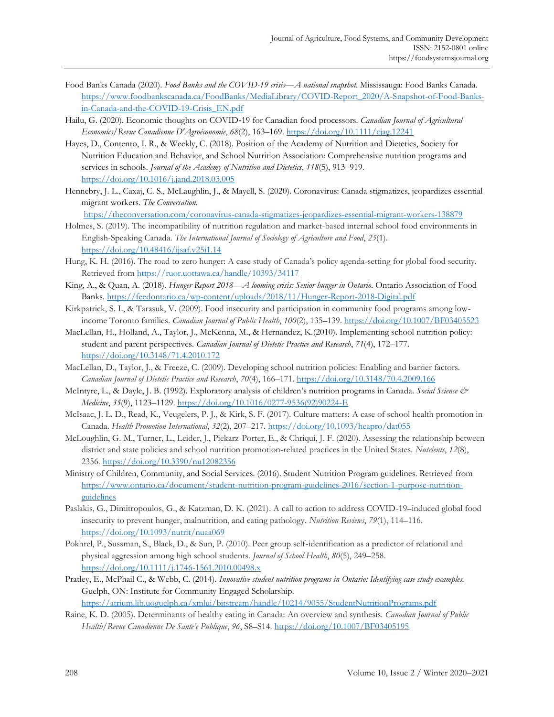- Food Banks Canada (2020). *Food Banks and the COVID-19 crisis—A national snapshot*. Mississauga: Food Banks Canada. [https://www.foodbankscanada.ca/FoodBanks/MediaLibrary/COVID-Report\\_2020/A-Snapshot-of-Food-Banks](https://www.foodbankscanada.ca/FoodBanks/MediaLibrary/COVID-Report_2020/A-Snapshot-of-Food-Banks-in-Canada-and-the-COVID-19-Crisis_EN.pdf)in-Canada-and-the-COVID-19-Crisis\_EN.pdf
- Hailu, G. (2020). Economic thoughts on COVID‐19 for Canadian food processors. *Canadian Journal of Agricultural Economics/Revue Canadienne D'Agroéconomie*, *68*(2), 163–169. https://doi.org/10.1111/cjag.12241
- Hayes, D., Contento, I. R., & Weekly, C. (2018). Position of the Academy of Nutrition and Dietetics, Society for Nutrition Education and Behavior, and School Nutrition Association: Comprehensive nutrition programs and services in schools. *Journal of the Academy of Nutrition and Dietetics*, *118*(5), 913–919. https://doi.org/10.1016/j.jand.2018.03.005
- Hennebry, J. L., Caxaj, C. S., McLaughlin, J., & Mayell, S. (2020). Coronavirus: Canada stigmatizes, jeopardizes essential migrant workers. *The Conversation.*

https://theconversation.com/coronavirus-canada-stigmatizes-jeopardizes-essential-migrant-workers-138879

- Holmes, S. (2019). The incompatibility of nutrition regulation and market-based internal school food environments in English-Speaking Canada. *The International Journal of Sociology of Agriculture and Food*, *25*(1). https://doi.org/10.48416/ijsaf.v25i1.14
- Hung, K. H. (2016). The road to zero hunger: A case study of Canada's policy agenda-setting for global food security. Retrieved from https://ruor.uottawa.ca/handle/10393/34117
- King, A., & Quan, A. (2018). *Hunger Report 2018—A looming crisis: Senior hunger in Ontario*. Ontario Association of Food Banks. https://feedontario.ca/wp-content/uploads/2018/11/Hunger-Report-2018-Digital.pdf
- Kirkpatrick, S. I., & Tarasuk, V. (2009). Food insecurity and participation in community food programs among lowincome Toronto families. *Canadian Journal of Public Health*, *100*(2), 135–139. https://doi.org/10.1007/BF03405523
- MacLellan, H., Holland, A., Taylor, J., McKenna, M., & Hernandez, K.(2010). Implementing school nutrition policy: student and parent perspectives. *Canadian Journal of Dietetic Practice and Research*, *71*(4), 172–177. https://doi.org/10.3148/71.4.2010.172
- MacLellan, D., Taylor, J., & Freeze, C. (2009). Developing school nutrition policies: Enabling and barrier factors. *Canadian Journal of Dietetic Practice and Research*, *70*(4), 166–171. https://doi.org/10.3148/70.4.2009.166
- McIntyre, L., & Dayle, J. B. (1992). Exploratory analysis of children's nutrition programs in Canada. *Social Science & Medicine*, *35*(9), 1123–1129. https://doi.org/10.1016/0277-9536(92)90224-E
- McIsaac, J. L. D., Read, K., Veugelers, P. J., & Kirk, S. F. (2017). Culture matters: A case of school health promotion in Canada. *Health Promotion International*, *32*(2), 207–217. https://doi.org/10.1093/heapro/dat055
- McLoughlin, G. M., Turner, L., Leider, J., Piekarz-Porter, E., & Chriqui, J. F. (2020). Assessing the relationship between district and state policies and school nutrition promotion-related practices in the United States. *Nutrients*, *12*(8), 2356. https://doi.org/10.3390/nu12082356
- Ministry of Children, Community, and Social Services. (2016). Student Nutrition Program guidelines. Retrieved from [https://www.ontario.ca/document/student-nutrition-program-guidelines-2016/section-1-purpose-nutrition](https://www.ontario.ca/document/student-nutrition-program-guidelines-2016/section-1-purpose-nutrition-guidelines)guidelines
- Paslakis, G., Dimitropoulos, G., & Katzman, D. K. (2021). A call to action to address COVID-19–induced global food insecurity to prevent hunger, malnutrition, and eating pathology. *Nutrition Reviews*, *79*(1), 114–116. https://doi.org/10.1093/nutrit/nuaa069
- Pokhrel, P., Sussman, S., Black, D., & Sun, P. (2010). Peer group self‐identification as a predictor of relational and physical aggression among high school students. *Journal of School Health*, *80*(5), 249–258. https://doi.org/10.1111/j.1746-1561.2010.00498.x
- Pratley, E., McPhail C., & Webb, C. (2014). *Innovative student nutrition programs in Ontario: Identifying case study examples.* Guelph, ON: Institute for Community Engaged Scholarship. https://atrium.lib.uoguelph.ca/xmlui/bitstream/handle/10214/9055/StudentNutritionPrograms.pdf
- Raine, K. D. (2005). Determinants of healthy eating in Canada: An overview and synthesis. *Canadian Journal of Public Health/Revue Canadienne De Sante'e Publique*, *96*, S8–S14. https://doi.org/10.1007/BF03405195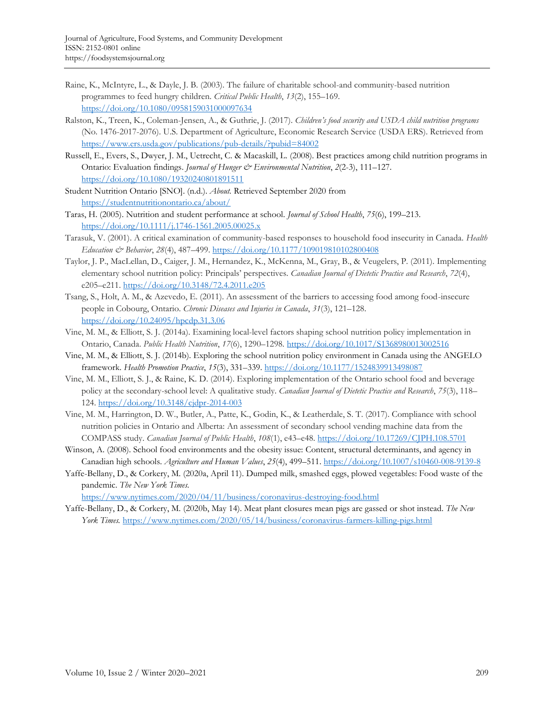- Raine, K., McIntyre, L., & Dayle, J. B. (2003). The failure of charitable school-and community-based nutrition programmes to feed hungry children. *Critical Public Health*, *13*(2), 155–169. https://doi.org/10.1080/0958159031000097634
- Ralston, K., Treen, K., Coleman-Jensen, A., & Guthrie, J. (2017). *Children's food security and USDA child nutrition programs* (No. 1476-2017-2076). U.S. Department of Agriculture, Economic Research Service (USDA ERS). Retrieved from https://www.ers.usda.gov/publications/pub-details/?pubid=84002
- Russell, E., Evers, S., Dwyer, J. M., Uetrecht, C. & Macaskill, L. (2008). Best practices among child nutrition programs in Ontario: Evaluation findings. *Journal of Hunger & Environmental Nutrition*, *2*(2-3), 111–127. https://doi.org/10.1080/19320240801891511
- Student Nutrition Ontario [SNO]. (n.d.). *About.* Retrieved September 2020 from https://studentnutritionontario.ca/about/
- Taras, H. (2005). Nutrition and student performance at school. *Journal of School Health*, *75*(6), 199–213. https://doi.org/10.1111/j.1746-1561.2005.00025.x
- Tarasuk, V. (2001). A critical examination of community-based responses to household food insecurity in Canada. *Health Education & Behavior*, *28*(4), 487–499. https://doi.org/10.1177/109019810102800408
- Taylor, J. P., MacLellan, D., Caiger, J. M., Hernandez, K., McKenna, M., Gray, B., & Veugelers, P. (2011). Implementing elementary school nutrition policy: Principals' perspectives. *Canadian Journal of Dietetic Practice and Research*, *72*(4), e205–e211. https://doi.org/10.3148/72.4.2011.e205
- Tsang, S., Holt, A. M., & Azevedo, E. (2011). An assessment of the barriers to accessing food among food-insecure people in Cobourg, Ontario. *Chronic Diseases and Injuries in Canada*, *31*(3), 121–128. https://doi.org/10.24095/hpcdp.31.3.06
- Vine, M. M., & Elliott, S. J. (2014a). Examining local-level factors shaping school nutrition policy implementation in Ontario, Canada. *Public Health Nutrition*, *17*(6), 1290–1298. https://doi.org/10.1017/S1368980013002516
- Vine, M. M., & Elliott, S. J. (2014b). Exploring the school nutrition policy environment in Canada using the ANGELO framework. *Health Promotion Practice*, *15*(3), 331–339. https://doi.org/10.1177/1524839913498087
- Vine, M. M., Elliott, S. J., & Raine, K. D. (2014). Exploring implementation of the Ontario school food and beverage policy at the secondary-school level: A qualitative study. *Canadian Journal of Dietetic Practice and Research*, *75*(3), 118– 124. https://doi.org/10.3148/cjdpr-2014-003
- Vine, M. M., Harrington, D. W., Butler, A., Patte, K., Godin, K., & Leatherdale, S. T. (2017). Compliance with school nutrition policies in Ontario and Alberta: An assessment of secondary school vending machine data from the COMPASS study. *Canadian Journal of Public Health*, *108*(1), e43–e48. https://doi.org/10.17269/CJPH.108.5701
- Winson, A. (2008). School food environments and the obesity issue: Content, structural determinants, and agency in Canadian high schools. *Agriculture and Human Values*, *25*(4), 499–511. https://doi.org/10.1007/s10460-008-9139-8
- Yaffe-Bellany, D., & Corkery, M. (2020a, April 11). Dumped milk, smashed eggs, plowed vegetables: Food waste of the pandemic. *The New York Times.*

https://www.nytimes.com/2020/04/11/business/coronavirus-destroying-food.html

Yaffe-Bellany, D., & Corkery, M. (2020b, May 14). Meat plant closures mean pigs are gassed or shot instead. *The New York Times.* https://www.nytimes.com/2020/05/14/business/coronavirus-farmers-killing-pigs.html